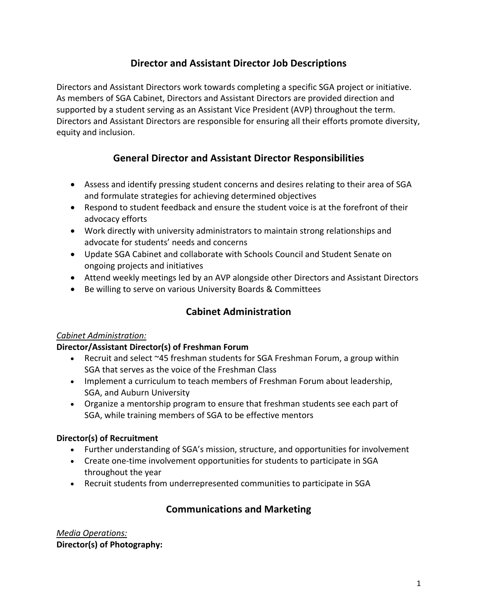# **Director and Assistant Director Job Descriptions**

Directors and Assistant Directors work towards completing a specific SGA project or initiative. As members of SGA Cabinet, Directors and Assistant Directors are provided direction and supported by a student serving as an Assistant Vice President (AVP) throughout the term. Directors and Assistant Directors are responsible for ensuring all their efforts promote diversity, equity and inclusion.

# **General Director and Assistant Director Responsibilities**

- Assess and identify pressing student concerns and desires relating to their area of SGA and formulate strategies for achieving determined objectives
- Respond to student feedback and ensure the student voice is at the forefront of their advocacy efforts
- Work directly with university administrators to maintain strong relationships and advocate for students' needs and concerns
- Update SGA Cabinet and collaborate with Schools Council and Student Senate on ongoing projects and initiatives
- Attend weekly meetings led by an AVP alongside other Directors and Assistant Directors
- Be willing to serve on various University Boards & Committees

# **Cabinet Administration**

#### *Cabinet Administration:*

### **Director/Assistant Director(s) of Freshman Forum**

- Recruit and select ~45 freshman students for SGA Freshman Forum, a group within SGA that serves as the voice of the Freshman Class
- Implement a curriculum to teach members of Freshman Forum about leadership, SGA, and Auburn University
- Organize a mentorship program to ensure that freshman students see each part of SGA, while training members of SGA to be effective mentors

#### **Director(s) of Recruitment**

- Further understanding of SGA's mission, structure, and opportunities for involvement
- Create one-time involvement opportunities for students to participate in SGA throughout the year
- Recruit students from underrepresented communities to participate in SGA

# **Communications and Marketing**

*Media Operations:* **Director(s) of Photography:**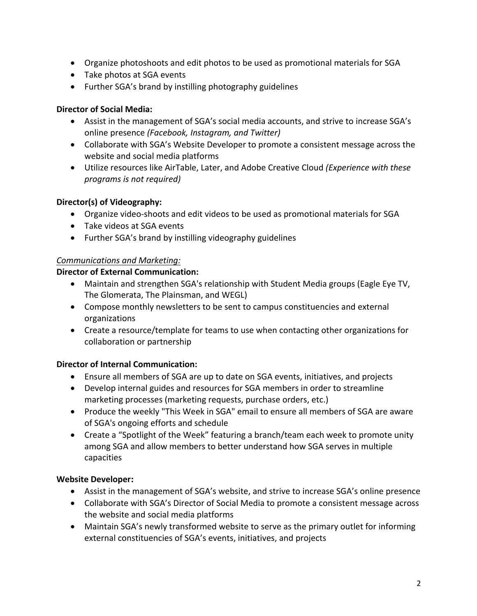- Organize photoshoots and edit photos to be used as promotional materials for SGA
- Take photos at SGA events
- Further SGA's brand by instilling photography guidelines

#### **Director of Social Media:**

- Assist in the management of SGA's social media accounts, and strive to increase SGA's online presence *(Facebook, Instagram, and Twitter)*
- Collaborate with SGA's Website Developer to promote a consistent message across the website and social media platforms
- Utilize resources like AirTable, Later, and Adobe Creative Cloud *(Experience with these programs is not required)*

### **Director(s) of Videography:**

- Organize video-shoots and edit videos to be used as promotional materials for SGA
- Take videos at SGA events
- Further SGA's brand by instilling videography guidelines

#### *Communications and Marketing:*

#### **Director of External Communication:**

- Maintain and strengthen SGA's relationship with Student Media groups (Eagle Eye TV, The Glomerata, The Plainsman, and WEGL)
- Compose monthly newsletters to be sent to campus constituencies and external organizations
- Create a resource/template for teams to use when contacting other organizations for collaboration or partnership

### **Director of Internal Communication:**

- Ensure all members of SGA are up to date on SGA events, initiatives, and projects
- Develop internal guides and resources for SGA members in order to streamline marketing processes (marketing requests, purchase orders, etc.)
- Produce the weekly "This Week in SGA" email to ensure all members of SGA are aware of SGA's ongoing efforts and schedule
- Create a "Spotlight of the Week" featuring a branch/team each week to promote unity among SGA and allow members to better understand how SGA serves in multiple capacities

### **Website Developer:**

- Assist in the management of SGA's website, and strive to increase SGA's online presence
- Collaborate with SGA's Director of Social Media to promote a consistent message across the website and social media platforms
- Maintain SGA's newly transformed website to serve as the primary outlet for informing external constituencies of SGA's events, initiatives, and projects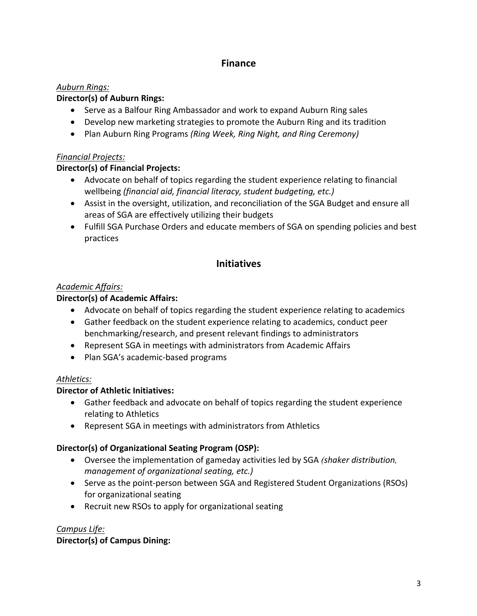# **Finance**

### *Auburn Rings:*

#### **Director(s) of Auburn Rings:**

- Serve as a Balfour Ring Ambassador and work to expand Auburn Ring sales
- Develop new marketing strategies to promote the Auburn Ring and its tradition
- Plan Auburn Ring Programs *(Ring Week, Ring Night, and Ring Ceremony)*

#### *Financial Projects:*

### **Director(s) of Financial Projects:**

- Advocate on behalf of topics regarding the student experience relating to financial wellbeing *(financial aid, financial literacy, student budgeting, etc.)*
- Assist in the oversight, utilization, and reconciliation of the SGA Budget and ensure all areas of SGA are effectively utilizing their budgets
- Fulfill SGA Purchase Orders and educate members of SGA on spending policies and best practices

## **Initiatives**

### *Academic Affairs:*

### **Director(s) of Academic Affairs:**

- Advocate on behalf of topics regarding the student experience relating to academics
- Gather feedback on the student experience relating to academics, conduct peer benchmarking/research, and present relevant findings to administrators
- Represent SGA in meetings with administrators from Academic Affairs
- Plan SGA's academic-based programs

### *Athletics:*

### **Director of Athletic Initiatives:**

- Gather feedback and advocate on behalf of topics regarding the student experience relating to Athletics
- Represent SGA in meetings with administrators from Athletics

### **Director(s) of Organizational Seating Program (OSP):**

- Oversee the implementation of gameday activities led by SGA *(shaker distribution, management of organizational seating, etc.)*
- Serve as the point-person between SGA and Registered Student Organizations (RSOs) for organizational seating
- Recruit new RSOs to apply for organizational seating

### *Campus Life:*

### **Director(s) of Campus Dining:**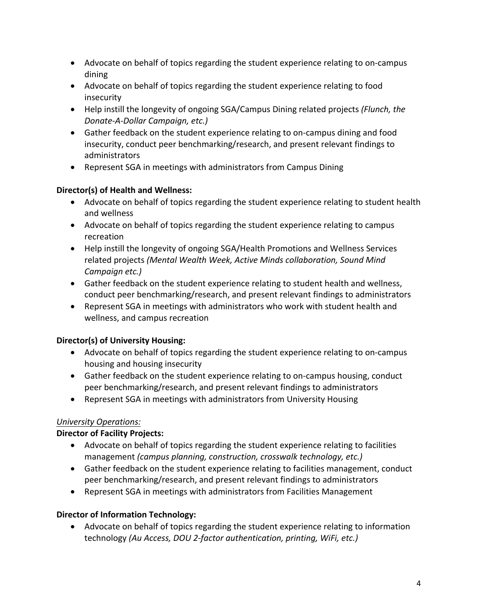- Advocate on behalf of topics regarding the student experience relating to on-campus dining
- Advocate on behalf of topics regarding the student experience relating to food insecurity
- Help instill the longevity of ongoing SGA/Campus Dining related projects *(Flunch, the Donate-A-Dollar Campaign, etc.)*
- Gather feedback on the student experience relating to on-campus dining and food insecurity, conduct peer benchmarking/research, and present relevant findings to administrators
- Represent SGA in meetings with administrators from Campus Dining

### **Director(s) of Health and Wellness:**

- Advocate on behalf of topics regarding the student experience relating to student health and wellness
- Advocate on behalf of topics regarding the student experience relating to campus recreation
- Help instill the longevity of ongoing SGA/Health Promotions and Wellness Services related projects *(Mental Wealth Week, Active Minds collaboration, Sound Mind Campaign etc.)*
- Gather feedback on the student experience relating to student health and wellness, conduct peer benchmarking/research, and present relevant findings to administrators
- Represent SGA in meetings with administrators who work with student health and wellness, and campus recreation

### **Director(s) of University Housing:**

- Advocate on behalf of topics regarding the student experience relating to on-campus housing and housing insecurity
- Gather feedback on the student experience relating to on-campus housing, conduct peer benchmarking/research, and present relevant findings to administrators
- Represent SGA in meetings with administrators from University Housing

### *University Operations:*

#### **Director of Facility Projects:**

- Advocate on behalf of topics regarding the student experience relating to facilities management *(campus planning, construction, crosswalk technology, etc.)*
- Gather feedback on the student experience relating to facilities management, conduct peer benchmarking/research, and present relevant findings to administrators
- Represent SGA in meetings with administrators from Facilities Management

#### **Director of Information Technology:**

• Advocate on behalf of topics regarding the student experience relating to information technology *(Au Access, DOU 2-factor authentication, printing, WiFi, etc.)*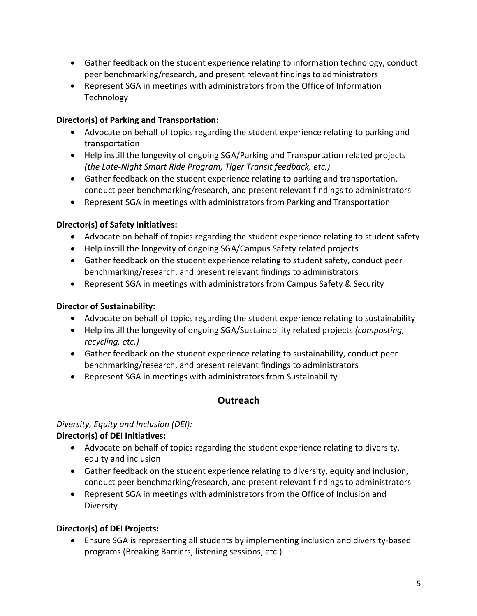- Gather feedback on the student experience relating to information technology, conduct peer benchmarking/research, and present relevant findings to administrators
- Represent SGA in meetings with administrators from the Office of Information **Technology**

## **Director(s) of Parking and Transportation:**

- Advocate on behalf of topics regarding the student experience relating to parking and transportation
- Help instill the longevity of ongoing SGA/Parking and Transportation related projects *(the Late-Night Smart Ride Program, Tiger Transit feedback, etc.)*
- Gather feedback on the student experience relating to parking and transportation, conduct peer benchmarking/research, and present relevant findings to administrators
- Represent SGA in meetings with administrators from Parking and Transportation

### **Director(s) of Safety Initiatives:**

- Advocate on behalf of topics regarding the student experience relating to student safety
- Help instill the longevity of ongoing SGA/Campus Safety related projects
- Gather feedback on the student experience relating to student safety, conduct peer benchmarking/research, and present relevant findings to administrators
- Represent SGA in meetings with administrators from Campus Safety & Security

## **Director of Sustainability:**

- Advocate on behalf of topics regarding the student experience relating to sustainability
- Help instill the longevity of ongoing SGA/Sustainability related projects *(composting, recycling, etc.)*
- Gather feedback on the student experience relating to sustainability, conduct peer benchmarking/research, and present relevant findings to administrators
- Represent SGA in meetings with administrators from Sustainability

# **Outreach**

### *Diversity, Equity and Inclusion (DEI):*

### **Director(s) of DEI Initiatives:**

- Advocate on behalf of topics regarding the student experience relating to diversity, equity and inclusion
- Gather feedback on the student experience relating to diversity, equity and inclusion, conduct peer benchmarking/research, and present relevant findings to administrators
- Represent SGA in meetings with administrators from the Office of Inclusion and Diversity

### **Director(s) of DEI Projects:**

• Ensure SGA is representing all students by implementing inclusion and diversity-based programs (Breaking Barriers, listening sessions, etc.)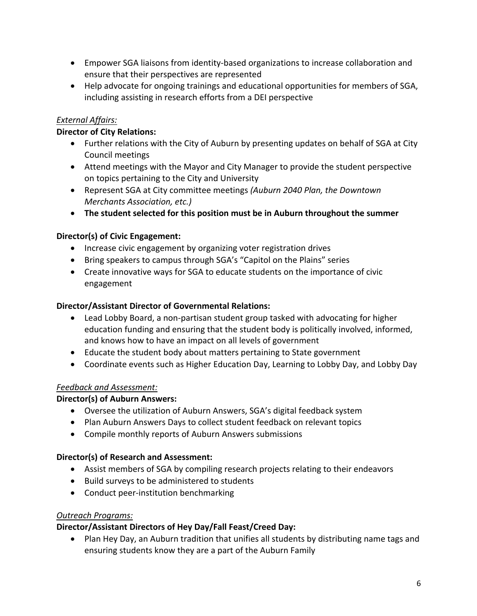- Empower SGA liaisons from identity-based organizations to increase collaboration and ensure that their perspectives are represented
- Help advocate for ongoing trainings and educational opportunities for members of SGA, including assisting in research efforts from a DEI perspective

### *External Affairs:*

#### **Director of City Relations:**

- Further relations with the City of Auburn by presenting updates on behalf of SGA at City Council meetings
- Attend meetings with the Mayor and City Manager to provide the student perspective on topics pertaining to the City and University
- Represent SGA at City committee meetings *(Auburn 2040 Plan, the Downtown Merchants Association, etc.)*
- **The student selected for this position must be in Auburn throughout the summer**

#### **Director(s) of Civic Engagement:**

- Increase civic engagement by organizing voter registration drives
- Bring speakers to campus through SGA's "Capitol on the Plains" series
- Create innovative ways for SGA to educate students on the importance of civic engagement

#### **Director/Assistant Director of Governmental Relations:**

- Lead Lobby Board, a non-partisan student group tasked with advocating for higher education funding and ensuring that the student body is politically involved, informed, and knows how to have an impact on all levels of government
- Educate the student body about matters pertaining to State government
- Coordinate events such as Higher Education Day, Learning to Lobby Day, and Lobby Day

#### *Feedback and Assessment:*

#### **Director(s) of Auburn Answers:**

- Oversee the utilization of Auburn Answers, SGA's digital feedback system
- Plan Auburn Answers Days to collect student feedback on relevant topics
- Compile monthly reports of Auburn Answers submissions

#### **Director(s) of Research and Assessment:**

- Assist members of SGA by compiling research projects relating to their endeavors
- Build surveys to be administered to students
- Conduct peer-institution benchmarking

#### *Outreach Programs:*

#### **Director/Assistant Directors of Hey Day/Fall Feast/Creed Day:**

• Plan Hey Day, an Auburn tradition that unifies all students by distributing name tags and ensuring students know they are a part of the Auburn Family